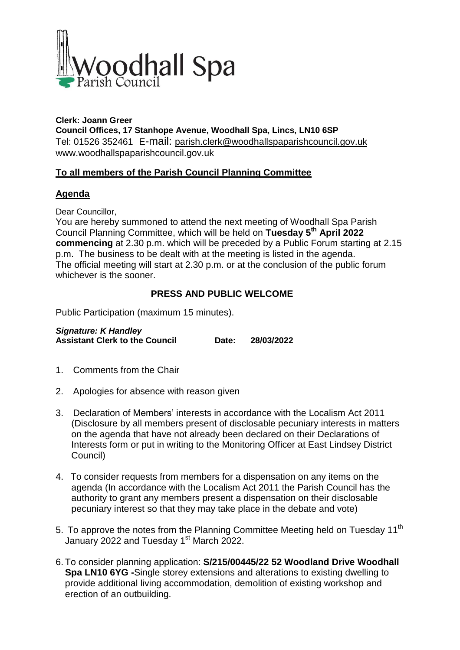

### **Clerk: Joann Greer Council Offices, 17 Stanhope Avenue, Woodhall Spa, Lincs, LN10 6SP** Tel: 01526 352461 E-mail: parish.clerk@woodhallspaparishcouncil.gov.uk www.woodhallspaparishcouncil.gov.uk

# **To all members of the Parish Council Planning Committee**

## **Agenda**

Dear Councillor,

You are hereby summoned to attend the next meeting of Woodhall Spa Parish Council Planning Committee, which will be held on **Tuesday 5 th April 2022 commencing** at 2.30 p.m. which will be preceded by a Public Forum starting at 2.15 p.m. The business to be dealt with at the meeting is listed in the agenda. The official meeting will start at 2.30 p.m. or at the conclusion of the public forum whichever is the sooner.

# **PRESS AND PUBLIC WELCOME**

Public Participation (maximum 15 minutes).

*Signature: K Handley* **Assistant Clerk to the Council Date: 28/03/2022**

- 1. Comments from the Chair
- 2. Apologies for absence with reason given
- 3. Declaration of Members' interests in accordance with the Localism Act 2011 (Disclosure by all members present of disclosable pecuniary interests in matters on the agenda that have not already been declared on their Declarations of Interests form or put in writing to the Monitoring Officer at East Lindsey District Council)
- 4. To consider requests from members for a dispensation on any items on the agenda (In accordance with the Localism Act 2011 the Parish Council has the authority to grant any members present a dispensation on their disclosable pecuniary interest so that they may take place in the debate and vote)
- 5. To approve the notes from the Planning Committee Meeting held on Tuesday 11<sup>th</sup> January 2022 and Tuesday 1<sup>st</sup> March 2022.
- 6. To consider planning application: **S/215/00445/22 52 Woodland Drive Woodhall Spa LN10 6YG -**Single storey extensions and alterations to existing dwelling to provide additional living accommodation, demolition of existing workshop and erection of an outbuilding.